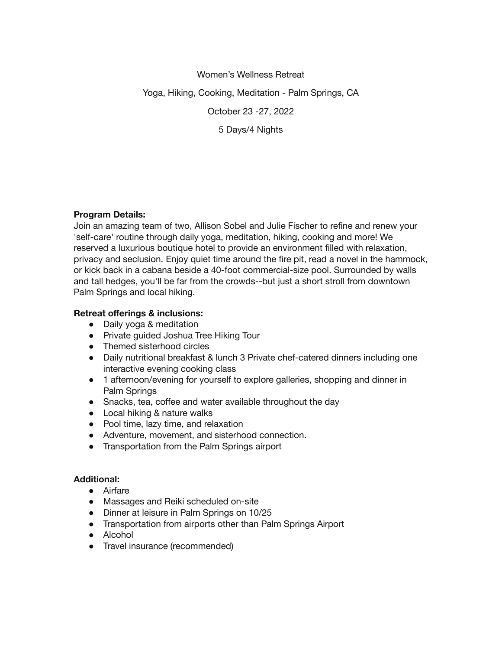Women's Wellness Retreat Yoga, Hiking, Cooking, Meditation - Palm Springs, CA October 23 -27, 2022 5 Days/4 Nights

## **Program Details:**

Join an amazing team of two, Allison Sobel and Julie Fischer to refine and renew your 'self-care' routine through daily yoga, meditation, hiking, cooking and more! We reserved a luxurious boutique hotel to provide an environment filled with relaxation, privacy and seclusion. Enjoy quiet time around the fire pit, read a novel in the hammock, or kick back in a cabana beside a 40-foot commercial-size pool. Surrounded by walls and tall hedges, you'll be far from the crowds--but just a short stroll from downtown Palm Springs and local hiking.

# **Retreat offerings & inclusions:**

- Daily yoga & meditation
- Private guided Joshua Tree Hiking Tour
- Themed sisterhood circles
- Daily nutritional breakfast & lunch 3 Private chef-catered dinners including one interactive evening cooking class
- 1 afternoon/evening for yourself to explore galleries, shopping and dinner in Palm Springs
- Snacks, tea, coffee and water available throughout the day
- Local hiking & nature walks
- Pool time, lazy time, and relaxation
- Adventure, movement, and sisterhood connection.
- Transportation from the Palm Springs airport

## **Additional:**

- Airfare
- Massages and Reiki scheduled on-site
- Dinner at leisure in Palm Springs on 10/25
- Transportation from airports other than Palm Springs Airport
- Alcohol
- Travel insurance (recommended)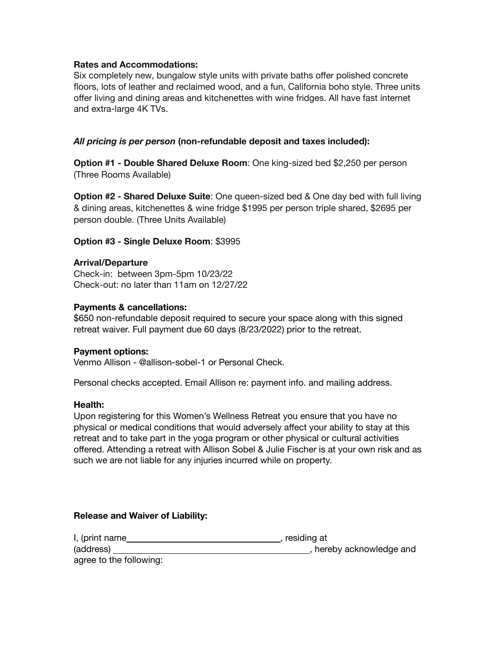### **Rates and Accommodations:**

Six completely new, bungalow style units with private baths offer polished concrete floors, lots of leather and reclaimed wood, and a fun, California boho style. Three units offer living and dining areas and kitchenettes with wine fridges. All have fast internet and extra-large 4K TVs.

## *All pricing is per person* **(non-refundable deposit and taxes included):**

**Option #1 - Double Shared Deluxe Room**: One king-sized bed \$2,250 per person (Three Rooms Available)

**Option #2 - Shared Deluxe Suite**: One queen-sized bed & One day bed with full living & dining areas, kitchenettes & wine fridge \$1995 per person triple shared, \$2695 per person double. (Three Units Available)

### **Option #3 - Single Deluxe Room**: \$3995

#### **Arrival/Departure**

Check-in: between 3pm-5pm 10/23/22 Check-out: no later than 11am on 12/27/22

### **Payments & cancellations:**

\$650 non-refundable deposit required to secure your space along with this signed retreat waiver. Full payment due 60 days (8/23/2022) prior to the retreat.

#### **Payment options:**

Venmo Allison - @allison-sobel-1 or Personal Check.

Personal checks accepted. Email Allison re: payment info. and mailing address.

#### **Health:**

Upon registering for this Women's Wellness Retreat you ensure that you have no physical or medical conditions that would adversely affect your ability to stay at this retreat and to take part in the yoga program or other physical or cultural activities offered. Attending a retreat with Allison Sobel & Julie Fischer is at your own risk and as such we are not liable for any injuries incurred while on property.

#### **Release and Waiver of Liability:**

| I, (print name          | , residing at            |
|-------------------------|--------------------------|
| (address)               | , hereby acknowledge and |
| agree to the following: |                          |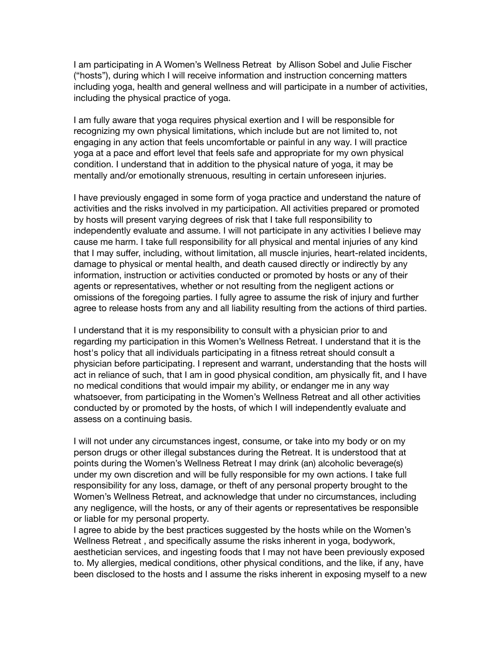I am participating in A Women's Wellness Retreat by Allison Sobel and Julie Fischer ("hosts"), during which I will receive information and instruction concerning matters including yoga, health and general wellness and will participate in a number of activities, including the physical practice of yoga.

I am fully aware that yoga requires physical exertion and I will be responsible for recognizing my own physical limitations, which include but are not limited to, not engaging in any action that feels uncomfortable or painful in any way. I will practice yoga at a pace and effort level that feels safe and appropriate for my own physical condition. I understand that in addition to the physical nature of yoga, it may be mentally and/or emotionally strenuous, resulting in certain unforeseen injuries.

I have previously engaged in some form of yoga practice and understand the nature of activities and the risks involved in my participation. All activities prepared or promoted by hosts will present varying degrees of risk that I take full responsibility to independently evaluate and assume. I will not participate in any activities I believe may cause me harm. I take full responsibility for all physical and mental injuries of any kind that I may suffer, including, without limitation, all muscle injuries, heart-related incidents, damage to physical or mental health, and death caused directly or indirectly by any information, instruction or activities conducted or promoted by hosts or any of their agents or representatives, whether or not resulting from the negligent actions or omissions of the foregoing parties. I fully agree to assume the risk of injury and further agree to release hosts from any and all liability resulting from the actions of third parties.

I understand that it is my responsibility to consult with a physician prior to and regarding my participation in this Women's Wellness Retreat. I understand that it is the host's policy that all individuals participating in a fitness retreat should consult a physician before participating. I represent and warrant, understanding that the hosts will act in reliance of such, that I am in good physical condition, am physically fit, and I have no medical conditions that would impair my ability, or endanger me in any way whatsoever, from participating in the Women's Wellness Retreat and all other activities conducted by or promoted by the hosts, of which I will independently evaluate and assess on a continuing basis.

I will not under any circumstances ingest, consume, or take into my body or on my person drugs or other illegal substances during the Retreat. It is understood that at points during the Women's Wellness Retreat I may drink (an) alcoholic beverage(s) under my own discretion and will be fully responsible for my own actions. I take full responsibility for any loss, damage, or theft of any personal property brought to the Women's Wellness Retreat, and acknowledge that under no circumstances, including any negligence, will the hosts, or any of their agents or representatives be responsible or liable for my personal property.

I agree to abide by the best practices suggested by the hosts while on the Women's Wellness Retreat , and specifically assume the risks inherent in yoga, bodywork, aesthetician services, and ingesting foods that I may not have been previously exposed to. My allergies, medical conditions, other physical conditions, and the like, if any, have been disclosed to the hosts and I assume the risks inherent in exposing myself to a new